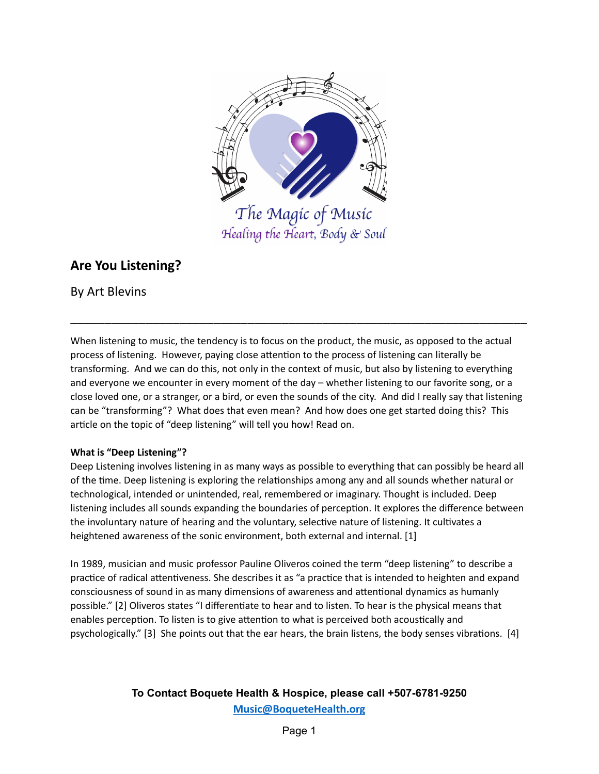

# Healing the Heart, Body & Soul

## **Are You Listening?**

By Art Blevins

When listening to music, the tendency is to focus on the product, the music, as opposed to the actual process of listening. However, paying close attention to the process of listening can literally be transforming. And we can do this, not only in the context of music, but also by listening to everything and everyone we encounter in every moment of the day – whether listening to our favorite song, or a close loved one, or a stranger, or a bird, or even the sounds of the city. And did I really say that listening can be "transforming"? What does that even mean? And how does one get started doing this? This article on the topic of "deep listening" will tell you how! Read on.

\_\_\_\_\_\_\_\_\_\_\_\_\_\_\_\_\_\_\_\_\_\_\_\_\_\_\_\_\_\_\_\_\_\_\_\_\_\_\_\_\_\_\_\_\_\_\_\_\_\_\_\_\_\_\_\_\_\_\_\_\_\_\_\_\_\_\_

#### **What is "Deep Listening"?**

Deep Listening involves listening in as many ways as possible to everything that can possibly be heard all of the time. Deep listening is exploring the relationships among any and all sounds whether natural or technological, intended or unintended, real, remembered or imaginary. Thought is included. Deep listening includes all sounds expanding the boundaries of perception. It explores the difference between the involuntary nature of hearing and the voluntary, selective nature of listening. It cultivates a heightened awareness of the sonic environment, both external and internal. [1]

In 1989, musician and music professor Pauline Oliveros coined the term "deep listening" to describe a practice of radical attentiveness. She describes it as "a practice that is intended to heighten and expand consciousness of sound in as many dimensions of awareness and attentional dynamics as humanly possible." [2] Oliveros states "I differentiate to hear and to listen. To hear is the physical means that enables perception. To listen is to give attention to what is perceived both acoustically and psychologically." [3] She points out that the ear hears, the brain listens, the body senses vibrations. [4]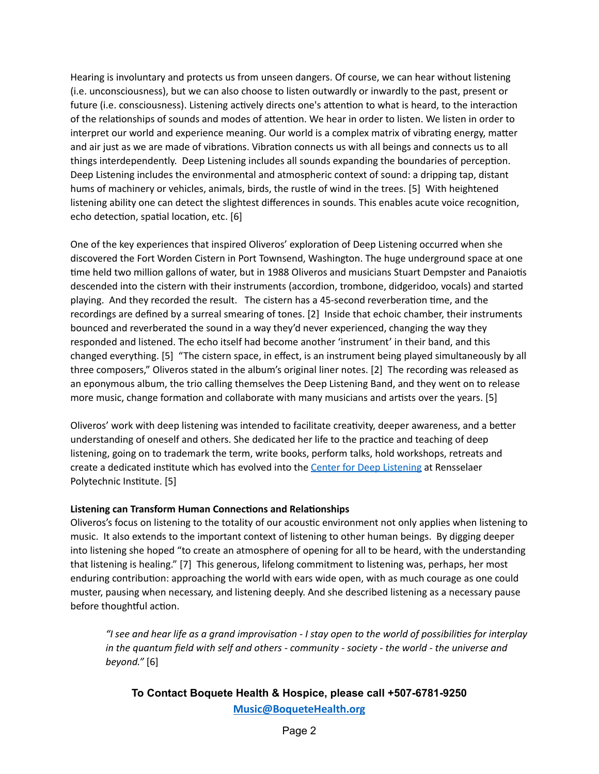Hearing is involuntary and protects us from unseen dangers. Of course, we can hear without listening (i.e. unconsciousness), but we can also choose to listen outwardly or inwardly to the past, present or future (i.e. consciousness). Listening actively directs one's attention to what is heard, to the interaction of the relationships of sounds and modes of attention. We hear in order to listen. We listen in order to interpret our world and experience meaning. Our world is a complex matrix of vibrating energy, matter and air just as we are made of vibrations. Vibration connects us with all beings and connects us to all things interdependently. Deep Listening includes all sounds expanding the boundaries of perception. Deep Listening includes the environmental and atmospheric context of sound: a dripping tap, distant hums of machinery or vehicles, animals, birds, the rustle of wind in the trees. [5] With heightened listening ability one can detect the slightest differences in sounds. This enables acute voice recognition, echo detection, spatial location, etc. [6]

One of the key experiences that inspired Oliveros' exploration of Deep Listening occurred when she discovered the Fort Worden Cistern in Port Townsend, Washington. The huge underground space at one time held two million gallons of water, but in 1988 Oliveros and musicians Stuart Dempster and Panaiotis descended into the cistern with their instruments (accordion, trombone, didgeridoo, vocals) and started playing. And they recorded the result. The cistern has a 45-second reverberation time, and the recordings are defined by a surreal smearing of tones. [2] Inside that echoic chamber, their instruments bounced and reverberated the sound in a way they'd never experienced, changing the way they responded and listened. The echo itself had become another 'instrument' in their band, and this changed everything. [5] "The cistern space, in effect, is an instrument being played simultaneously by all three composers," Oliveros stated in the album's original liner notes. [2] The recording was released as an eponymous album, the trio calling themselves the Deep Listening Band, and they went on to release more music, change formation and collaborate with many musicians and artists over the years. [5]

Oliveros' work with deep listening was intended to facilitate creativity, deeper awareness, and a better understanding of oneself and others. She dedicated her life to the practice and teaching of deep listening, going on to trademark the term, write books, perform talks, hold workshops, retreats and create a dedicated institute which has evolved into the Center for Deep [Listening](https://www.deeplistening.rpi.edu/) at Rensselaer Polytechnic Institute. [5]

#### **Listening can Transform Human Connections and Relationships**

Oliveros's focus on listening to the totality of our acoustic environment not only applies when listening to music. It also extends to the important context of listening to other human beings. By digging deeper into listening she hoped "to create an atmosphere of opening for all to be heard, with the understanding that listening is healing." [7] This generous, lifelong commitment to listening was, perhaps, her most enduring contribution: approaching the world with ears wide open, with as much courage as one could muster, pausing when necessary, and listening deeply. And she described listening as a necessary pause before thoughtful action.

If see and hear life as a grand improvisation - I stay open to the world of possibilities for interplay *in the quantum field with self and others - community - society - the world - the universe and beyond."* [6]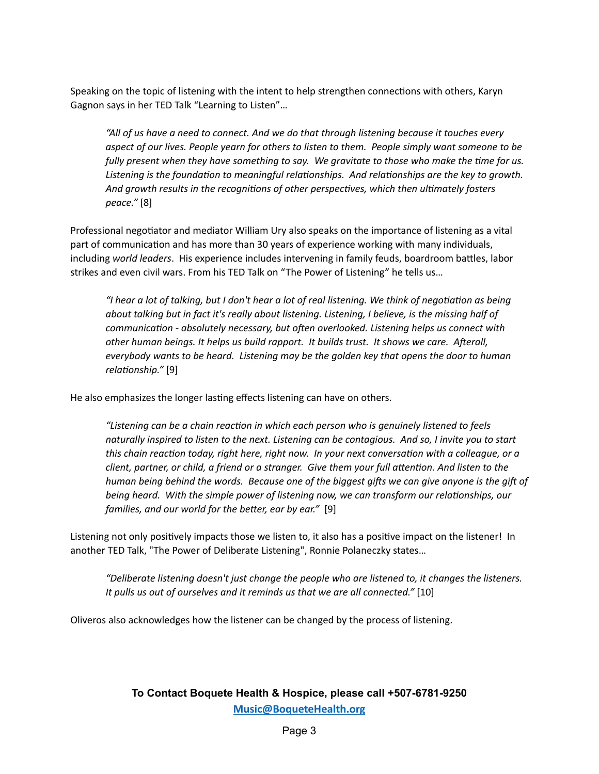Speaking on the topic of listening with the intent to help strengthen connections with others, Karyn Gagnon says in her TED Talk "Learning to Listen"…

*"All of us have a need to connect. And we do that through listening because it touches every aspect of our lives. People yearn for others to listen to them. People simply want someone to be fully present when they have something to say. We gravitate to those who make the me for us. Listening is the foundation to meaningful relationships.* And *relationships are the key to growth. And* growth results in the recognitions of other perspectives, which then ultimately fosters *peace."* [8]

Professional negotiator and mediator William Ury also speaks on the importance of listening as a vital part of communication and has more than 30 years of experience working with many individuals, including world leaders. His experience includes intervening in family feuds, boardroom battles, labor strikes and even civil wars. From his TED Talk on "The Power of Listening" he tells us…

*"I* hear a lot of talking, but *I* don't hear a lot of real listening. We think of negotiation as being *about talking but in fact it's really about listening. Listening, I believe, is the missing half of*  $c$ *communication* - *absolutely necessary, but often overlooked. Listening helps us connect with other human beings. It helps us build rapport. It builds trust. It shows we care. Aerall, everybody wants to be heard. Listening may be the golden key that opens the door to human* relationship." [9]

He also emphasizes the longer lasting effects listening can have on others.

*"Listening can be a chain reaction in which each person who is genuinely listened to feels* naturally inspired to listen to the next. Listening can be contagious. And so, I invite you to start *this chain reaction today, right here, right now. In your next conversation with a colleague, or a client, partner, or child, a friend or a stranger. Give them your full attention. And listen to the human being behind the words.* Because one of the biggest gifts we can give anyone is the gift of *being heard. With the simple power of listening now, we can transform our relaonships, our families, and our world for the better, ear by ear.*" [9]

Listening not only positively impacts those we listen to, it also has a positive impact on the listener! In another TED Talk, "The Power of Deliberate Listening", Ronnie Polaneczky states…

*"Deliberate listening doesn't just change the people who are listened to, it changes the listeners. It pulls us out of ourselves and it reminds us that we are all connected."* [10]

Oliveros also acknowledges how the listener can be changed by the process of listening.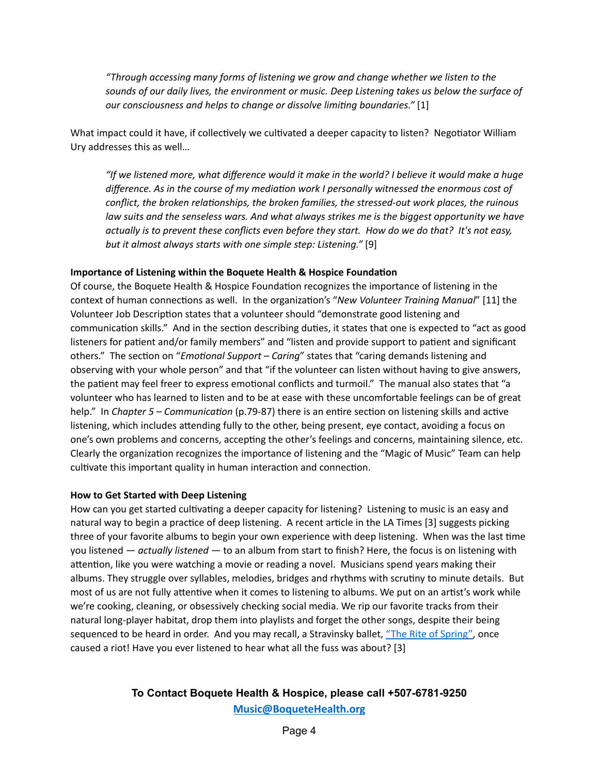*"Through accessing many forms of listening we grow and change whether we listen to the sounds of our daily lives, the environment or music. Deep Listening takes us below the surface of our consciousness and helps to change or dissolve liming boundaries."* [1]

What impact could it have, if collectively we cultivated a deeper capacity to listen? Negotiator William Ury addresses this as well…

*"If we listened more, what difference would it make in the world? I believe it would make a huge difference. As in the course of my mediaon work I personally witnessed the enormous cost of*  $f$ *conflict, the broken relationships, the broken families, the stressed-out work places, the ruinous law suits and the senseless wars. And what always strikes me is the biggest opportunity we have actually is to prevent these conflicts even before they start. How do we do that? It's not easy, but it almost always starts with one simple step: Listening."* [9]

#### **Importance of Listening within the Boquete Health & Hospice Foundation**

Of course, the Boquete Health & Hospice Foundation recognizes the importance of listening in the context of human connections as well. In the organization's "New Volunteer Training Manual" [11] the Volunteer Job Description states that a volunteer should "demonstrate good listening and communication skills." And in the section describing duties, it states that one is expected to "act as good listeners for patient and/or family members" and "listen and provide support to patient and significant others." The section on "*Emotional Support – Caring*" states that "caring demands listening and observing with your whole person" and that "if the volunteer can listen without having to give answers, the patient may feel freer to express emotional conflicts and turmoil." The manual also states that "a volunteer who has learned to listen and to be at ease with these uncomfortable feelings can be of great help." In *Chapter* 5 – *Communication* (p.79-87) there is an entire section on listening skills and active listening, which includes attending fully to the other, being present, eye contact, avoiding a focus on one's own problems and concerns, accepting the other's feelings and concerns, maintaining silence, etc. Clearly the organization recognizes the importance of listening and the "Magic of Music" Team can help cultivate this important quality in human interaction and connection.

#### **How to Get Started with Deep Listening**

How can you get started cultivating a deeper capacity for listening? Listening to music is an easy and natural way to begin a practice of deep listening. A recent article in the LA Times [3] suggests picking three of your favorite albums to begin your own experience with deep listening. When was the last time you listened — *actually listened* — to an album from start to finish? Here, the focus is on listening with attention, like you were watching a movie or reading a novel. Musicians spend years making their albums. They struggle over syllables, melodies, bridges and rhythms with scrutiny to minute details. But most of us are not fully attentive when it comes to listening to albums. We put on an artist's work while we're cooking, cleaning, or obsessively checking social media. We rip our favorite tracks from their natural long-player habitat, drop them into playlists and forget the other songs, despite their being sequenced to be heard in order. And you may recall, a Stravinsky ballet, "The Rite [of Spring",](https://www.youtube.com/watch?v=EkwqPJZe8ms&t=14s) once caused a riot! Have you ever listened to hear what all the fuss was about? [3]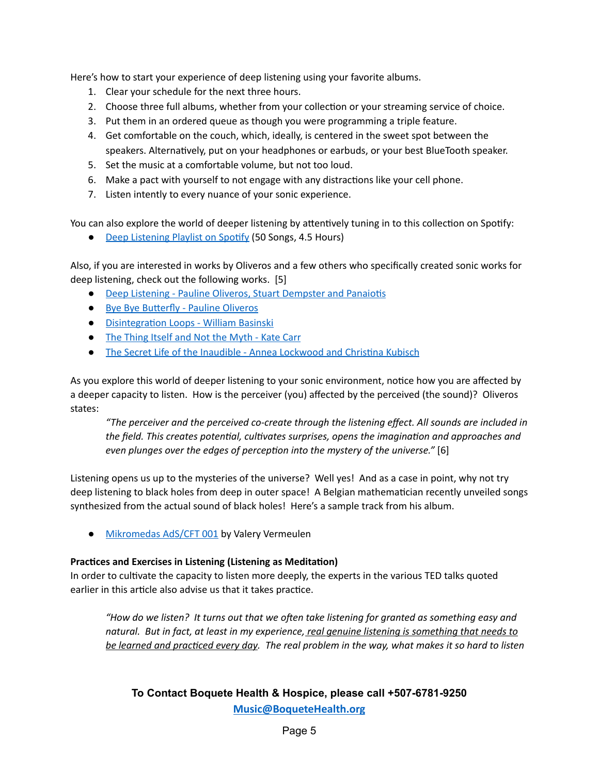Here's how to start your experience of deep listening using your favorite albums.

- 1. Clear your schedule for the next three hours.
- 2. Choose three full albums, whether from your collection or your streaming service of choice.
- 3. Put them in an ordered queue as though you were programming a triple feature.
- 4. Get comfortable on the couch, which, ideally, is centered in the sweet spot between the speakers. Alternatively, put on your headphones or earbuds, or your best BlueTooth speaker.
- 5. Set the music at a comfortable volume, but not too loud.
- 6. Make a pact with yourself to not engage with any distractions like your cell phone.
- 7. Listen intently to every nuance of your sonic experience.

You can also explore the world of deeper listening by attentively tuning in to this collection on Spotify:

• Deep [Listening](https://open.spotify.com/playlist/37i9dQZF1DX5y2yPmGqrG8) Playlist on Spotify (50 Songs, 4.5 Hours)

Also, if you are interested in works by Oliveros and a few others who specifically created sonic works for deep listening, check out the following works. [5]

- Deep Listening Pauline Oliveros, Stuart [Dempster](https://youtu.be/U__lpPDTUS4) and Panaiotis
- Bye Bye Butterfly Pauline Oliveros
- **•** Disintegration Loops William Basinski
- The Thing [Itself and](https://soundcloud.com/katecarr/there-is-noone-to-tell-me-when-the-ocean-will-begin-out-nov-26-on-glistening-examples?utm_source=clipboard&utm_campaign=wtshare&utm_medium=widget&utm_content=https%253A%252F%252Fsoundcloud.com%252Fkatecarr%252Fthere-is-noone-to-tell-me-when-the-ocean-will-begin-out-nov-26-on-glistening-examples) Not the Myth Kate Carr
- The Secret Life of the Inaudible Annea [Lockwood](https://soundcloud.com/gruenrekorder/the-secret-life-of-the-inaudible-christina-kubisch-annea-lockwood?utm_source=clipboard&utm_campaign=wtshare&utm_medium=widget&utm_content=https%253A%252F%252Fsoundcloud.com%252Fgruenrekorder%252Fthe-secret-life-of-the-inaudible-christina-kubisch-annea-lockwood) and Christina Kubisch

As you explore this world of deeper listening to your sonic environment, notice how you are affected by a deeper capacity to listen. How is the perceiver (you) affected by the perceived (the sound)? Oliveros states:

*"The perceiver and the perceived co-create through the listening effect. All sounds are included in the field.* This *creates* potential, *cultivates surprises*, *opens the imagination* and *approaches* and *even* plunges over the edges of perception into the mystery of the universe." [6]

Listening opens us up to the mysteries of the universe? Well yes! And as a case in point, why not try deep listening to black holes from deep in outer space! A Belgian mathematician recently unveiled songs synthesized from the actual sound of black holes! Here's a sample track from his album.

● [Mikromedas](https://soundcloud.com/valeryvermeulen/mikromedas-srga-part1?utm_source=www.musictech.net&utm_campaign=wtshare&utm_medium=widget&utm_content=https%253A%252F%252Fsoundcloud.com%252Fvaleryvermeulen%252Fmikromedas-srga-part1) AdS/CFT 001 by Valery Vermeulen

#### **Practices** and Exercises in Listening (Listening as Meditation)

In order to cultivate the capacity to listen more deeply, the experts in the various TED talks quoted earlier in this article also advise us that it takes practice.

*"How do we listen? It turns out that we oen take listening for granted as something easy and natural. But in fact, at least in my experience, real genuine listening is something that needs to* be learned and practiced every day. The real problem in the way, what makes it so hard to listen

## **To Contact Boquete Health & Hospice, please call +507-6781-9250 [Music@BoqueteHealth.org](mailto:Music@boquetehospice.org)**

Page 5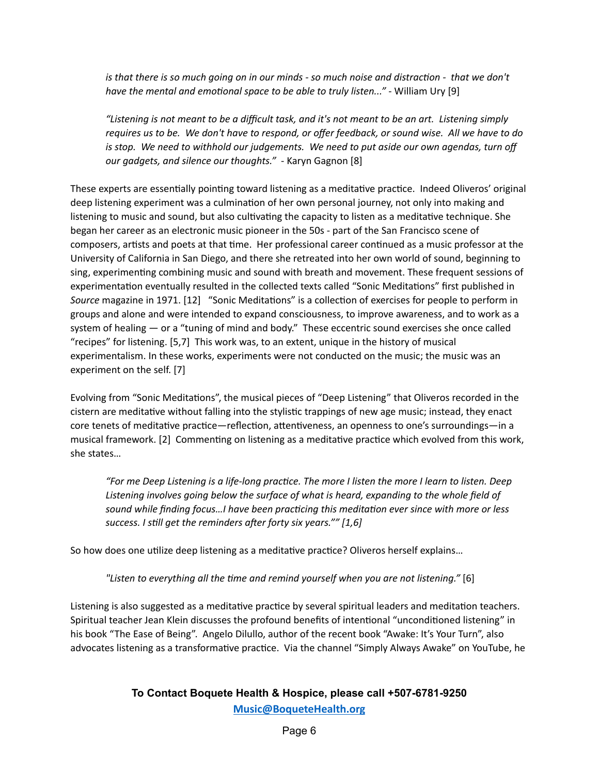is that there is so much going on in our minds - so much noise and distraction - that we don't *have the mental and emotional space to be able to truly listen..."* - William Ury [9]

"Listening is not meant to be a difficult task, and it's not meant to be an art. Listening simply requires us to be. We don't have to respond, or offer feedback, or sound wise. All we have to do *is stop. We need to withhold our judgements. We need to put aside our own agendas, turn off our gadgets, and silence our thoughts."* - Karyn Gagnon [8]

These experts are essentially pointing toward listening as a meditative practice. Indeed Oliveros' original deep listening experiment was a culmination of her own personal journey, not only into making and listening to music and sound, but also cultivating the capacity to listen as a meditative technique. She began her career as an electronic music pioneer in the 50s - part of the San Francisco scene of composers, artists and poets at that time. Her professional career continued as a music professor at the University of California in San Diego, and there she retreated into her own world of sound, beginning to sing, experimenting combining music and sound with breath and movement. These frequent sessions of experimentation eventually resulted in the collected texts called "Sonic Meditations" first published in *Source* magazine in 1971. [12] "Sonic Meditations" is a collection of exercises for people to perform in groups and alone and were intended to expand consciousness, to improve awareness, and to work as a system of healing — or a "tuning of mind and body." These eccentric sound exercises she once called "recipes" for listening. [5,7] This work was, to an extent, unique in the history of musical experimentalism. In these works, experiments were not conducted on the music; the music was an experiment on the self. [7]

Evolving from "Sonic Meditations", the musical pieces of "Deep Listening" that Oliveros recorded in the cistern are meditative without falling into the stylistic trappings of new age music; instead, they enact core tenets of meditative practice—reflection, attentiveness, an openness to one's surroundings—in a musical framework. [2] Commenting on listening as a meditative practice which evolved from this work, she states…

"For me Deep Listening is a life-long practice. The more I listen the more I learn to listen. Deep *Listening involves going below the surface of what is heard, expanding to the whole field of sound while finding focus…I have been praccing this meditaon ever since with more or less success. I sll get the reminders aer forty six years."" [1,6]*

So how does one utilize deep listening as a meditative practice? Oliveros herself explains...

*"Listen to everything all the me and remind yourself when you are not listening."* [6]

Listening is also suggested as a meditative practice by several spiritual leaders and meditation teachers. Spiritual teacher Jean Klein discusses the profound benefits of intentional "unconditioned listening" in his book "The Ease of Being". Angelo Dilullo, author of the recent book "Awake: It's Your Turn", also advocates listening as a transformative practice. Via the channel "Simply Always Awake" on YouTube, he